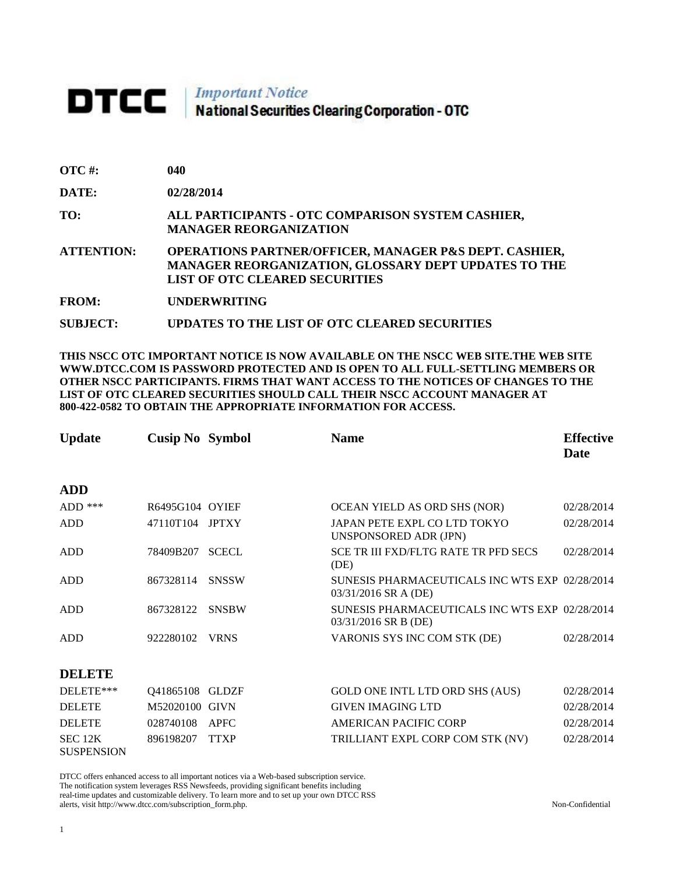## **DTCC** National Securities Clearing Corporation - OTC

| $\overline{OTC}$ #: | 040                                                                                                                                                                |
|---------------------|--------------------------------------------------------------------------------------------------------------------------------------------------------------------|
| DATE:               | 02/28/2014                                                                                                                                                         |
| TO:                 | ALL PARTICIPANTS - OTC COMPARISON SYSTEM CASHIER,<br><b>MANAGER REORGANIZATION</b>                                                                                 |
| <b>ATTENTION:</b>   | <b>OPERATIONS PARTNER/OFFICER, MANAGER P&amp;S DEPT. CASHIER,</b><br>MANAGER REORGANIZATION, GLOSSARY DEPT UPDATES TO THE<br><b>LIST OF OTC CLEARED SECURITIES</b> |
| $\blacksquare$      |                                                                                                                                                                    |

**FROM: UNDERWRITING**

**SUBJECT: UPDATES TO THE LIST OF OTC CLEARED SECURITIES**

**THIS NSCC OTC IMPORTANT NOTICE IS NOW AVAILABLE ON THE NSCC WEB SITE.THE WEB SITE WWW.DTCC.COM IS PASSWORD PROTECTED AND IS OPEN TO ALL FULL-SETTLING MEMBERS OR OTHER NSCC PARTICIPANTS. FIRMS THAT WANT ACCESS TO THE NOTICES OF CHANGES TO THE LIST OF OTC CLEARED SECURITIES SHOULD CALL THEIR NSCC ACCOUNT MANAGER AT 800-422-0582 TO OBTAIN THE APPROPRIATE INFORMATION FOR ACCESS.** 

| <b>Update</b>                           | <b>Cusip No Symbol</b> |              | <b>Name</b>                                                            | <b>Effective</b><br><b>Date</b> |
|-----------------------------------------|------------------------|--------------|------------------------------------------------------------------------|---------------------------------|
| <b>ADD</b>                              |                        |              |                                                                        |                                 |
| $ADD$ ***                               | R6495G104 OYIEF        |              | OCEAN YIELD AS ORD SHS (NOR)                                           | 02/28/2014                      |
| <b>ADD</b>                              | 47110T104              | <b>JPTXY</b> | JAPAN PETE EXPL CO LTD TOKYO<br>UNSPONSORED ADR (JPN)                  | 02/28/2014                      |
| <b>ADD</b>                              | 78409B207              | <b>SCECL</b> | SCE TR III FXD/FLTG RATE TR PFD SECS<br>(DE)                           | 02/28/2014                      |
| <b>ADD</b>                              | 867328114              | <b>SNSSW</b> | SUNESIS PHARMACEUTICALS INC WTS EXP 02/28/2014<br>03/31/2016 SR A (DE) |                                 |
| <b>ADD</b>                              | 867328122              | <b>SNSBW</b> | SUNESIS PHARMACEUTICALS INC WTS EXP 02/28/2014<br>03/31/2016 SR B (DE) |                                 |
| <b>ADD</b>                              | 922280102              | <b>VRNS</b>  | VARONIS SYS INC COM STK (DE)                                           | 02/28/2014                      |
| <b>DELETE</b>                           |                        |              |                                                                        |                                 |
| DELETE***                               | Q41865108              | <b>GLDZF</b> | GOLD ONE INTL LTD ORD SHS (AUS)                                        | 02/28/2014                      |
| <b>DELETE</b>                           | M52020100 GIVN         |              | <b>GIVEN IMAGING LTD</b>                                               | 02/28/2014                      |
| <b>DELETE</b>                           | 028740108              | <b>APFC</b>  | AMERICAN PACIFIC CORP                                                  | 02/28/2014                      |
| SEC <sub>12K</sub><br><b>SUSPENSION</b> | 896198207              | <b>TTXP</b>  | TRILLIANT EXPL CORP COM STK (NV)                                       | 02/28/2014                      |

DTCC offers enhanced access to all important notices via a Web-based subscription service. The notification system leverages RSS Newsfeeds, providing significant benefits including real-time updates and customizable delivery. To learn more and to set up your own DTCC RSS alerts, visit http://www.dtcc.com/subscription\_form.php. Non-Confidential